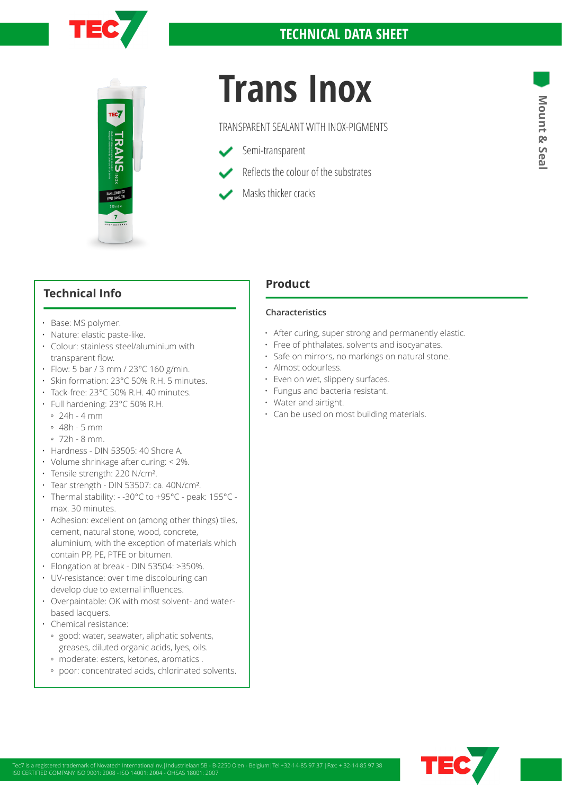



# **TRANS INOX<br>
TRANSPARENT SEALANT WITH INOX-PIGMENTS**<br>
Semi-transparent

TRANSPARENT SEALANT WITH INOX-PIGMENTS

- Semi-transparent
- Reflects the colour of the substrates
	- Masks thicker cracks

# **Technical Info**

- Base: MS polymer.
- Nature: elastic paste-like.
- Colour: stainless steel/aluminium with transparent flow.
- Flow: 5 bar / 3 mm / 23°C 160 g/min.
- Skin formation: 23°C 50% R.H. 5 minutes.
- Tack-free: 23°C 50% R.H. 40 minutes.
- Full hardening: 23°C 50% R.H.
	-
	- $0.48h 5 mm$
	- 72h 8 mm.
- Hardness DIN 53505: 40 Shore A.
- Volume shrinkage after curing: < 2%.
- Tensile strength: 220 N/cm².
- Tear strength DIN 53507: ca. 40N/cm².
- Thermal stability: -30°C to +95°C peak: 155°C max. 30 minutes.
- Adhesion: excellent on (among other things) tiles, cement, natural stone, wood, concrete, aluminium, with the exception of materials which contain PP, PE, PTFE or bitumen.
- Elongation at break DIN 53504: >350%.
- UV-resistance: over time discolouring can develop due to external influences.
- Overpaintable: OK with most solvent- and waterbased lacquers.
- Chemical resistance:
	- good: water, seawater, aliphatic solvents, greases, diluted organic acids, lyes, oils.
	- moderate: esters, ketones, aromatics .
	- poor: concentrated acids, chlorinated solvents.

## **Product**

### **Characteristics**

- After curing, super strong and permanently elastic.
- Free of phthalates, solvents and isocyanates.
- Safe on mirrors, no markings on natural stone.
- Almost odourless.
- Even on wet, slippery surfaces.
- Fungus and bacteria resistant.
- Water and airtight.
- Can be used on most building materials. 24h 4 mm